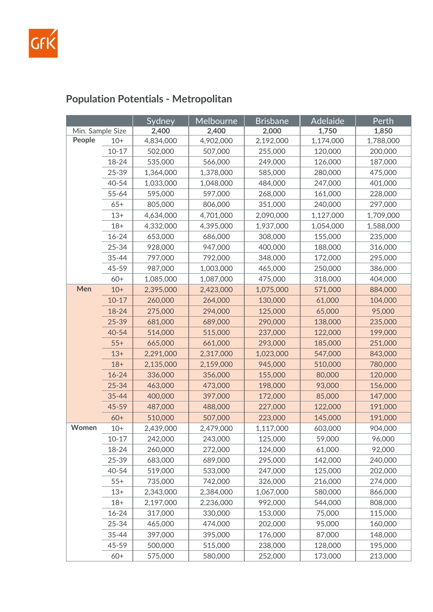

### Sydney | Melbourne | Brisbane | Adelaide | Perth Min. Sample Size **2,400 2,400 2,000 1,750 1,850 People** 10+ 4,834,000 4,902,000 2,192,000 1,174,000 1,788,000 10-17 502,000 507,000 255,000 120,000 200,000 18-24 535,000 566,000 249,000 126,000 187,000 25-39 1,364,000 1,378,000 585,000 280,000 475,000 40-54 1,033,000 1,048,000 484,000 247,000 401,000 55-64 595,000 597,000 268,000 161,000 228,000 65+ 805,000 806,000 351,000 240,000 297,000 13+ 4,634,000 4,701,000 2,090,000 1,127,000 1,709,000 18+ 4,332,000 4,395,000 1,937,000 1,054,000 1,588,000 16-24 653,000 686,000 308,000 155,000 235,000 25-34 928,000 947,000 400,000 188,000 316,000 35-44 797,000 792,000 348,000 172,000 295,000 45-59 987,000 1,003,000 465,000 250,000 386,000 60+ 1,085,000 1,087,000 475,000 318,000 404,000 **Men** 10+ 2,395,000 2,423,000 1,075,000 571,000 884,000 10-17 260,000 264,000 130,000 61,000 104,000 18-24 275,000 294,000 125,000 65,000 95,000 25-39 681,000 689,000 290,000 138,000 235,000 40-54 514,000 515,000 237,000 122,000 199,000 55+ 665,000 661,000 293,000 185,000 251,000 13+ 2,291,000 2,317,000 1,023,000 547,000 843,000 18+ 2,135,000 2,159,000 945,000 510,000 780,000 16-24 336,000 356,000 155,000 80,000 120,000 25-34 463,000 473,000 198,000 93,000 156,000 35-44 400,000 397,000 172,000 85,000 147,000 45-59 487,000 488,000 227,000 122,000 191,000 60+ 510,000 507,000 223,000 145,000 191,000 **Women** 10+ 2,439,000 2,479,000 1,117,000 603,000 904,000 10-17 | 242,000 | 243,000 | 125,000 | 59,000 | 96,000 18-24 260,000 272,000 124,000 61,000 92,000 25-39 683,000 689,000 295,000 142,000 240,000 40-54 519,000 533,000 247,000 125,000 202,000 55+ 735,000 742,000 326,000 216,000 274,000 13+ 2,343,000 2,384,000 1,067,000 580,000 866,000 18+ 2,197,000 2,236,000 992,000 544,000 808,000 16-24 317,000 330,000 153,000 75,000 115,000 25-34 465,000 474,000 202,000 95,000 160,000 35-44 397,000 395,000 176,000 87,000 148,000 45-59 500,000 515,000 238,000 128,000 195,000 60+ 575,000 580,000 252,000 173,000 213,000

## **Population Potentials - Metropolitan**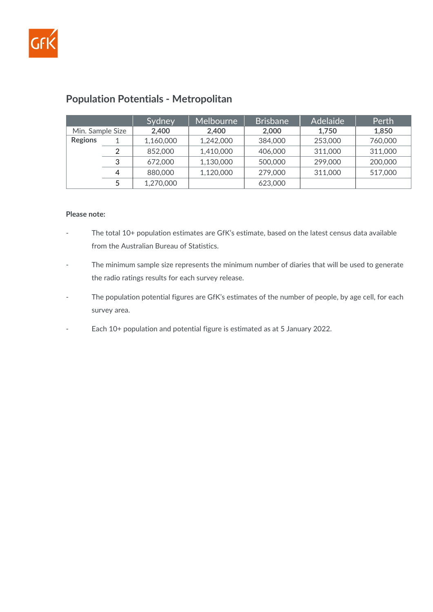

|                  |   | Sydney    | Melbourne | <b>Brisbane</b> | <b>Adelaide</b> | Perth   |
|------------------|---|-----------|-----------|-----------------|-----------------|---------|
| Min. Sample Size |   | 2,400     | 2.400     | 2,000           | 1.750           | 1,850   |
| <b>Regions</b>   |   | 1,160,000 | 1,242,000 | 384,000         | 253,000         | 760,000 |
|                  |   | 852,000   | 1,410,000 | 406,000         | 311,000         | 311,000 |
|                  | 3 | 672,000   | 1,130,000 | 500,000         | 299,000         | 200,000 |
|                  | 4 | 880,000   | 1,120,000 | 279,000         | 311,000         | 517,000 |
|                  |   | 1,270,000 |           | 623,000         |                 |         |

## **Population Potentials - Metropolitan**

#### **Please note:**

- The total 10+ population estimates are GfK's estimate, based on the latest census data available from the Australian Bureau of Statistics.
- The minimum sample size represents the minimum number of diaries that will be used to generate the radio ratings results for each survey release.
- The population potential figures are GfK's estimates of the number of people, by age cell, for each survey area.
- Each 10+ population and potential figure is estimated as at 5 January 2022.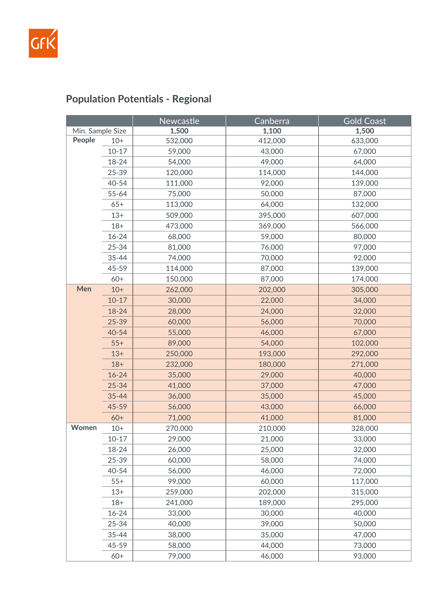

# **Population Potentials - Regional**

|                  |           | Newcastle | Canberra | <b>Gold Coast</b> |
|------------------|-----------|-----------|----------|-------------------|
| Min. Sample Size |           | 1,500     | 1,100    | 1,500             |
| People           | $10+$     | 532,000   | 412,000  | 633,000           |
|                  | $10 - 17$ | 59,000    | 43,000   | 67,000            |
|                  | 18-24     | 54,000    | 49,000   | 64,000            |
|                  | 25-39     | 120,000   | 114,000  | 144,000           |
|                  | 40-54     | 111,000   | 92,000   | 139,000           |
|                  | $55 - 64$ | 75,000    | 50,000   | 87,000            |
|                  | $65+$     | 113,000   | 64,000   | 132,000           |
|                  | $13+$     | 509,000   | 395,000  | 607,000           |
|                  | $18+$     | 473,000   | 369,000  | 566,000           |
|                  | $16 - 24$ | 68,000    | 59,000   | 80,000            |
|                  | 25-34     | 81,000    | 76,000   | 97,000            |
|                  | 35-44     | 74,000    | 70,000   | 92,000            |
|                  | 45-59     | 114,000   | 87,000   | 139,000           |
|                  | $60+$     | 150,000   | 87,000   | 174,000           |
| Men              | $10+$     | 262,000   | 202,000  | 305,000           |
|                  | $10 - 17$ | 30,000    | 22,000   | 34,000            |
|                  | 18-24     | 28,000    | 24,000   | 32,000            |
|                  | 25-39     | 60,000    | 56,000   | 70,000            |
|                  | 40-54     | 55,000    | 46,000   | 67,000            |
|                  | $55+$     | 89,000    | 54,000   | 102,000           |
|                  | $13+$     | 250,000   | 193,000  | 292,000           |
|                  | $18+$     | 232,000   | 180,000  | 271,000           |
|                  | $16 - 24$ | 35,000    | 29,000   | 40,000            |
|                  | $25 - 34$ | 41,000    | 37,000   | 47,000            |
|                  | $35 - 44$ | 36,000    | 35,000   | 45,000            |
|                  | 45-59     | 56,000    | 43,000   | 66,000            |
|                  | $60+$     | 71,000    | 41,000   | 81,000            |
| Women            | $10+$     | 270,000   | 210,000  | 328,000           |
|                  | $10 - 17$ | 29,000    | 21,000   | 33,000            |
|                  | 18-24     | 26,000    | 25,000   | 32,000            |
|                  | 25-39     | 60,000    | 58,000   | 74,000            |
|                  | 40-54     | 56,000    | 46,000   | 72,000            |
|                  | $55+$     | 99,000    | 60,000   | 117,000           |
|                  | $13+$     | 259,000   | 202,000  | 315,000           |
|                  | $18+$     | 241,000   | 189,000  | 295,000           |
|                  | $16 - 24$ | 33,000    | 30,000   | 40,000            |
|                  | 25-34     | 40,000    | 39,000   | 50,000            |
|                  | 35-44     | 38,000    | 35,000   | 47,000            |
|                  | 45-59     | 58,000    | 44,000   | 73,000            |
|                  | $60+$     | 79,000    | 46,000   | 93,000            |